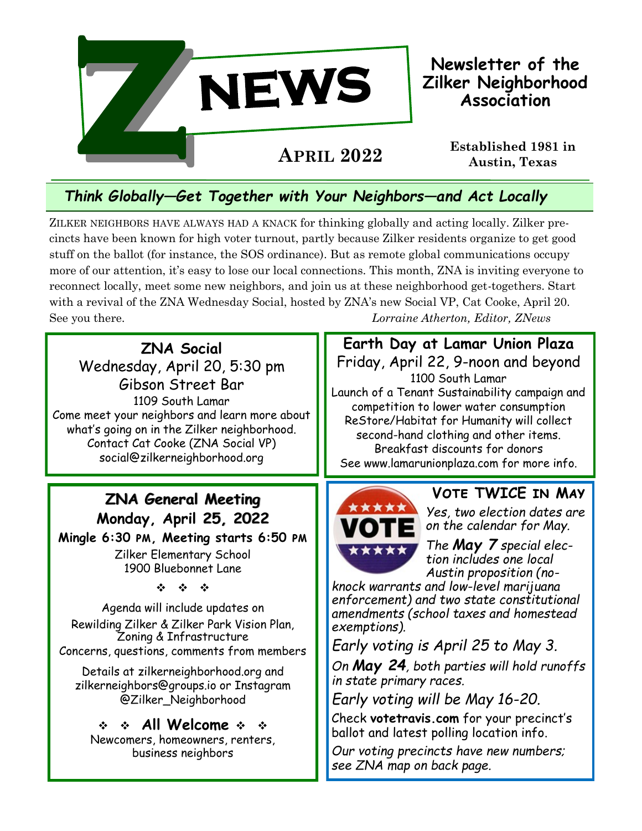

### **Newsletter of the Zilker Neighborhood Association**

# *Think Globally —Get Together with Your Neighbors—and Act Locally*

ZILKER NEIGHBORS HAVE ALWAYS HAD A KNACK for thinking globally and acting locally. Zilker precincts have been known for high voter turnout, partly because Zilker residents organize to get good stuff on the ballot (for instance, the SOS ordinance). But as remote global communications occupy more of our attention, it's easy to lose our local connections. This month, ZNA is inviting everyone to reconnect locally, meet some new neighbors, and join us at these neighborhood get-togethers. Start with a revival of the ZNA Wednesday Social, hosted by ZNA's new Social VP, Cat Cooke, April 20. See you there. *Lorraine Atherton, Editor, ZNews*

**ZNA Social** Wednesday, April 20, 5:30 pm Gibson Street Bar 1109 South Lamar Come meet your neighbors and learn more about what's going on in the Zilker neighborhood. Contact Cat Cooke (ZNA Social VP) social@zilkerneighborhood.org

# **ZNA General Meeting Monday, April 25, 2022**

**Mingle 6:30 pm, Meeting starts 6:50 pm** Zilker Elementary School 1900 Bluebonnet Lane

 $\label{eq:2.1} \frac{d\mathbf{y}}{dt} = \frac{d\mathbf{y}}{dt} = \frac{d\mathbf{y}}{dt}$ 

Agenda will include updates on Rewilding Zilker & Zilker Park Vision Plan, Zoning & Infrastructure Concerns, questions, comments from members

Details at zilkerneighborhood.org and zilkerneighbors@groups.io or Instagram @Zilker\_Neighborhood

#### $\div$   $\div$  All Welcome  $\div$   $\div$

Newcomers, homeowners, renters, business neighbors

**Earth Day at Lamar Union Plaza** Friday, April 22, 9-noon and beyond 1100 South Lamar Launch of a Tenant Sustainability campaign and competition to lower water consumption ReStore/Habitat for Humanity will collect second-hand clothing and other items. Breakfast discounts for donors See www.lamarunionplaza.com for more info.



**Vote TWICE in May**

*Yes, two election dates are on the calendar for May.* 

*The May 7 special election includes one local Austin proposition (no-*

*knock warrants and low-level marijuana enforcement) and two state constitutional amendments (school taxes and homestead exemptions).* 

*Early voting is April 25 to May 3.*

*On May 24, both parties will hold runoffs in state primary races.* 

*Early voting will be May 16-20.*

Check **votetravis.com** for your precinct's ballot and latest polling location info.

*Our voting precincts have new numbers; see ZNA map on back page.*